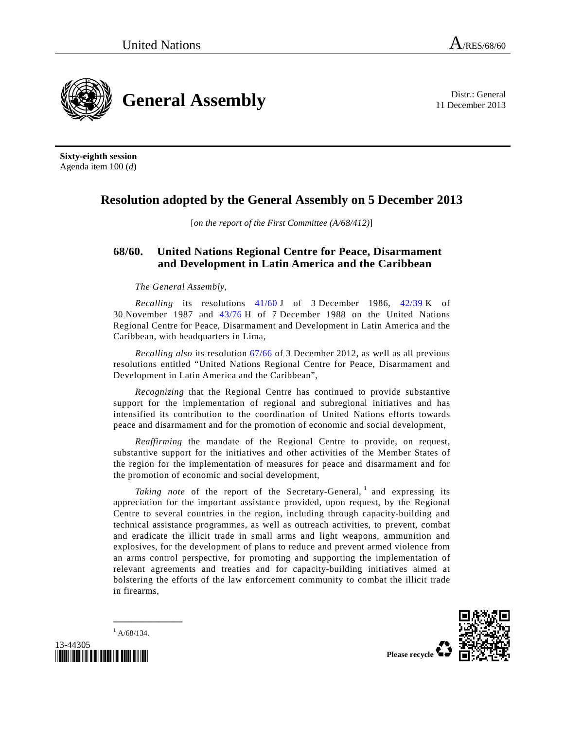11 December 2013



**Sixty-eighth session**  Agenda item 100 (*d*)

## **Resolution adopted by the General Assembly on 5 December 2013**

[*on the report of the First Committee (A/68/412)*]

## **68/60. United Nations Regional Centre for Peace, Disarmament and Development in Latin America and the Caribbean**

*The General Assembly*,

*Recalling* its resolutions 41/60 J of 3 December 1986, 42/39 K of 30 November 1987 and 43/76 H of 7 December 1988 on the United Nations Regional Centre for Peace, Disarmament and Development in Latin America and the Caribbean, with headquarters in Lima,

*Recalling also* its resolution 67/66 of 3 December 2012, as well as all previous resolutions entitled "United Nations Regional Centre for Peace, Disarmament and Development in Latin America and the Caribbean",

*Recognizing* that the Regional Centre has continued to provide substantive support for the implementation of regional and subregional initiatives and has intensified its contribution to the coordination of United Nations efforts towards peace and disarmament and for the promotion of economic and social development,

*Reaffirming* the mandate of the Regional Centre to provide, on request, substantive support for the initiatives and other activities of the Member States of the region for the implementation of measures for peace and disarmament and for the promotion of economic and social development,

Taking note of the report of the Secretary-General, <sup>1</sup> and expressing its appreciation for the important assistance provided, upon request, by the Regional Centre to several countries in the region, including through capacity-building and technical assistance programmes, as well as outreach activities, to prevent, combat and eradicate the illicit trade in small arms and light weapons, ammunition and explosives, for the development of plans to reduce and prevent armed violence from an arms control perspective, for promoting and supporting the implementation of relevant agreements and treaties and for capacity-building initiatives aimed at bolstering the efforts of the law enforcement community to combat the illicit trade in firearms,

 $^{1}$  A/68/134.

**\_\_\_\_\_\_\_\_\_\_\_\_\_\_\_** 

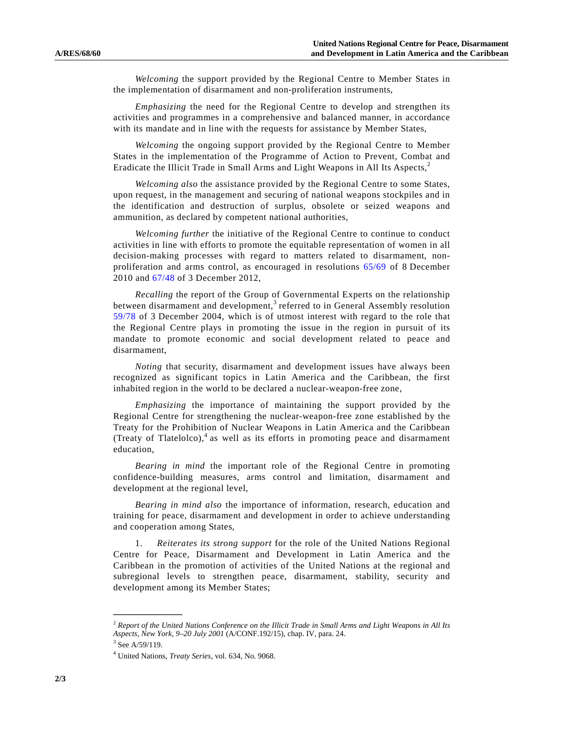*Welcoming* the support provided by the Regional Centre to Member States in the implementation of disarmament and non-proliferation instruments,

*Emphasizing* the need for the Regional Centre to develop and strengthen its activities and programmes in a comprehensive and balanced manner, in accordance with its mandate and in line with the requests for assistance by Member States,

*Welcoming* the ongoing support provided by the Regional Centre to Member States in the implementation of the Programme of Action to Prevent, Combat and Eradicate the Illicit Trade in Small Arms and Light Weapons in All Its Aspects,<sup>2</sup>

*Welcoming also* the assistance provided by the Regional Centre to some States, upon request, in the management and securing of national weapons stockpiles and in the identification and destruction of surplus, obsolete or seized weapons and ammunition, as declared by competent national authorities,

*Welcoming further* the initiative of the Regional Centre to continue to conduct activities in line with efforts to promote the equitable representation of women in all decision-making processes with regard to matters related to disarmament, nonproliferation and arms control, as encouraged in resolutions 65/69 of 8 December 2010 and 67/48 of 3 December 2012,

*Recalling* the report of the Group of Governmental Experts on the relationship between disarmament and development,<sup>3</sup> referred to in General Assembly resolution 59/78 of 3 December 2004, which is of utmost interest with regard to the role that the Regional Centre plays in promoting the issue in the region in pursuit of its mandate to promote economic and social development related to peace and disarmament,

*Noting* that security, disarmament and development issues have always been recognized as significant topics in Latin America and the Caribbean, the first inhabited region in the world to be declared a nuclear-weapon-free zone,

*Emphasizing* the importance of maintaining the support provided by the Regional Centre for strengthening the nuclear-weapon-free zone established by the Treaty for the Prohibition of Nuclear Weapons in Latin America and the Caribbean (Treaty of Tlatelolco), $4$  as well as its efforts in promoting peace and disarmament education,

*Bearing in mind* the important role of the Regional Centre in promoting confidence-building measures, arms control and limitation, disarmament and development at the regional level,

*Bearing in mind also* the importance of information, research, education and training for peace, disarmament and development in order to achieve understanding and cooperation among States,

 1. *Reiterates its strong support* for the role of the United Nations Regional Centre for Peace, Disarmament and Development in Latin America and the Caribbean in the promotion of activities of the United Nations at the regional and subregional levels to strengthen peace, disarmament, stability, security and development among its Member States;

**\_\_\_\_\_\_\_\_\_\_\_\_\_\_\_** 

<sup>2</sup>  *Report of the United Nations Conference on the Illicit Trade in Small Arms and Light Weapons in All Its Aspects, New York, 9–20 July 2001* (A/CONF.192/15), chap. IV, para. 24.

 $3$  See A/59/119.

<sup>4</sup> United Nations, *Treaty Series*, vol. 634, No. 9068.